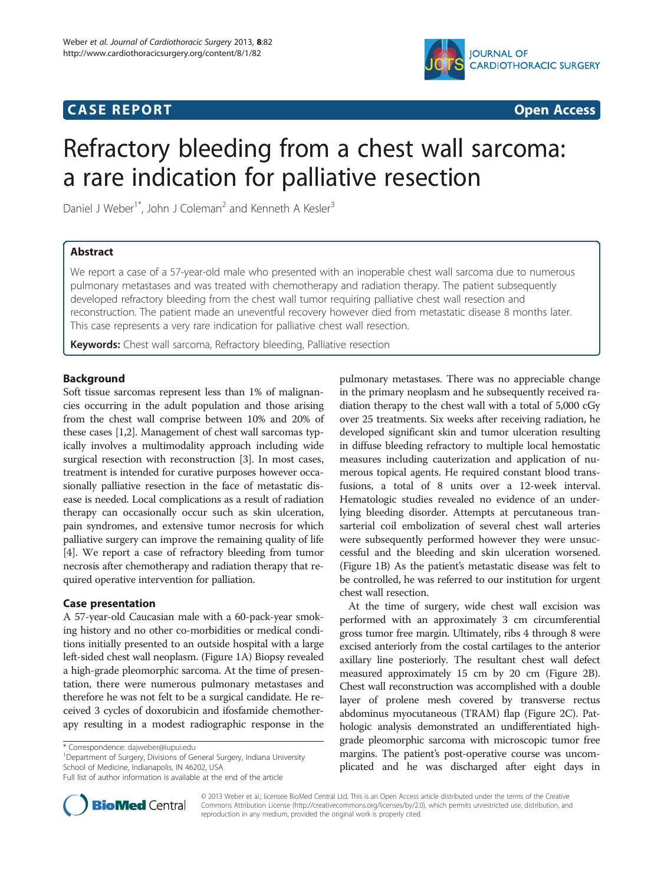## **CASE REPORT CASE REPORT CASE REPORT**



# Refractory bleeding from a chest wall sarcoma: a rare indication for palliative resection

Daniel J Weber<sup>1\*</sup>, John J Coleman<sup>2</sup> and Kenneth A Kesler<sup>3</sup>

## Abstract

We report a case of a 57-year-old male who presented with an inoperable chest wall sarcoma due to numerous pulmonary metastases and was treated with chemotherapy and radiation therapy. The patient subsequently developed refractory bleeding from the chest wall tumor requiring palliative chest wall resection and reconstruction. The patient made an uneventful recovery however died from metastatic disease 8 months later. This case represents a very rare indication for palliative chest wall resection.

Keywords: Chest wall sarcoma, Refractory bleeding, Palliative resection

## Background

Soft tissue sarcomas represent less than 1% of malignancies occurring in the adult population and those arising from the chest wall comprise between 10% and 20% of these cases [[1,2](#page-2-0)]. Management of chest wall sarcomas typically involves a multimodality approach including wide surgical resection with reconstruction [[3\]](#page-2-0). In most cases, treatment is intended for curative purposes however occasionally palliative resection in the face of metastatic disease is needed. Local complications as a result of radiation therapy can occasionally occur such as skin ulceration, pain syndromes, and extensive tumor necrosis for which palliative surgery can improve the remaining quality of life [[4\]](#page-2-0). We report a case of refractory bleeding from tumor necrosis after chemotherapy and radiation therapy that required operative intervention for palliation.

### Case presentation

A 57-year-old Caucasian male with a 60-pack-year smoking history and no other co-morbidities or medical conditions initially presented to an outside hospital with a large left-sided chest wall neoplasm. (Figure [1](#page-1-0)A) Biopsy revealed a high-grade pleomorphic sarcoma. At the time of presentation, there were numerous pulmonary metastases and therefore he was not felt to be a surgical candidate. He received 3 cycles of doxorubicin and ifosfamide chemotherapy resulting in a modest radiographic response in the

<sup>1</sup>Department of Surgery, Divisions of General Surgery, Indiana University School of Medicine, Indianapolis, IN 46202, USA

pulmonary metastases. There was no appreciable change in the primary neoplasm and he subsequently received radiation therapy to the chest wall with a total of 5,000 cGy over 25 treatments. Six weeks after receiving radiation, he developed significant skin and tumor ulceration resulting in diffuse bleeding refractory to multiple local hemostatic measures including cauterization and application of numerous topical agents. He required constant blood transfusions, a total of 8 units over a 12-week interval. Hematologic studies revealed no evidence of an underlying bleeding disorder. Attempts at percutaneous transarterial coil embolization of several chest wall arteries were subsequently performed however they were unsuccessful and the bleeding and skin ulceration worsened. (Figure [1](#page-1-0)B) As the patient's metastatic disease was felt to be controlled, he was referred to our institution for urgent chest wall resection.

At the time of surgery, wide chest wall excision was performed with an approximately 3 cm circumferential gross tumor free margin. Ultimately, ribs 4 through 8 were excised anteriorly from the costal cartilages to the anterior axillary line posteriorly. The resultant chest wall defect measured approximately 15 cm by 20 cm (Figure [2B](#page-1-0)). Chest wall reconstruction was accomplished with a double layer of prolene mesh covered by transverse rectus abdominus myocutaneous (TRAM) flap (Figure [2](#page-1-0)C). Pathologic analysis demonstrated an undifferentiated highgrade pleomorphic sarcoma with microscopic tumor free margins. The patient's post-operative course was uncomplicated and he was discharged after eight days in



© 2013 Weber et al.; licensee BioMed Central Ltd. This is an Open Access article distributed under the terms of the Creative Commons Attribution License [\(http://creativecommons.org/licenses/by/2.0\)](http://creativecommons.org/licenses/by/2.0), which permits unrestricted use, distribution, and reproduction in any medium, provided the original work is properly cited.

<sup>\*</sup> Correspondence: [dajweber@iupui.edu](mailto:dajweber@iupui.edu) <sup>1</sup>

Full list of author information is available at the end of the article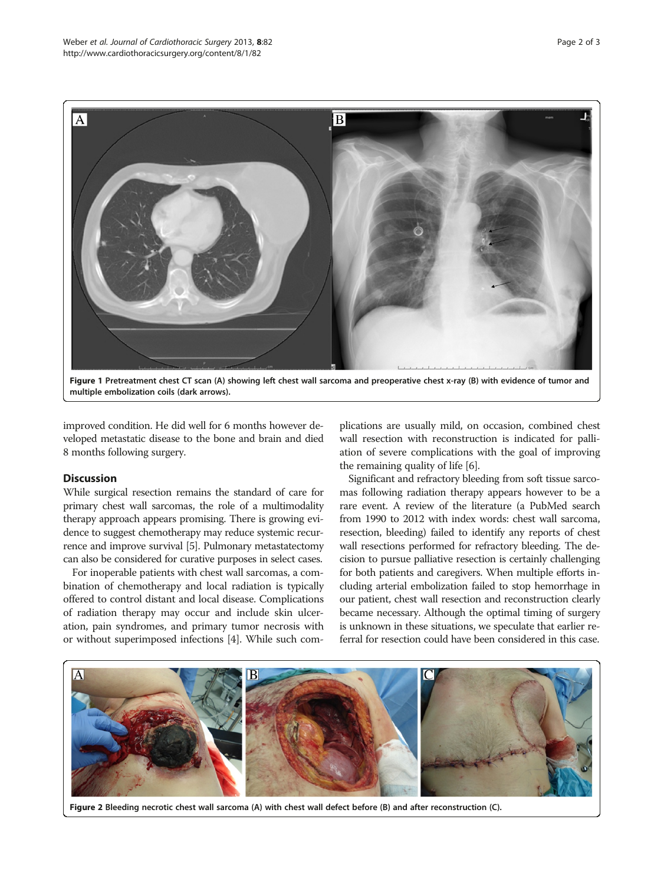<span id="page-1-0"></span>

multiple embolization coils (dark arrows).

improved condition. He did well for 6 months however developed metastatic disease to the bone and brain and died 8 months following surgery.

## **Discussion**

While surgical resection remains the standard of care for primary chest wall sarcomas, the role of a multimodality therapy approach appears promising. There is growing evidence to suggest chemotherapy may reduce systemic recurrence and improve survival [\[5\]](#page-2-0). Pulmonary metastatectomy can also be considered for curative purposes in select cases.

For inoperable patients with chest wall sarcomas, a combination of chemotherapy and local radiation is typically offered to control distant and local disease. Complications of radiation therapy may occur and include skin ulceration, pain syndromes, and primary tumor necrosis with or without superimposed infections [\[4\]](#page-2-0). While such com-

plications are usually mild, on occasion, combined chest wall resection with reconstruction is indicated for palliation of severe complications with the goal of improving the remaining quality of life [[6](#page-2-0)].

Significant and refractory bleeding from soft tissue sarcomas following radiation therapy appears however to be a rare event. A review of the literature (a PubMed search from 1990 to 2012 with index words: chest wall sarcoma, resection, bleeding) failed to identify any reports of chest wall resections performed for refractory bleeding. The decision to pursue palliative resection is certainly challenging for both patients and caregivers. When multiple efforts including arterial embolization failed to stop hemorrhage in our patient, chest wall resection and reconstruction clearly became necessary. Although the optimal timing of surgery is unknown in these situations, we speculate that earlier referral for resection could have been considered in this case.



Figure 2 Bleeding necrotic chest wall sarcoma (A) with chest wall defect before (B) and after reconstruction (C).